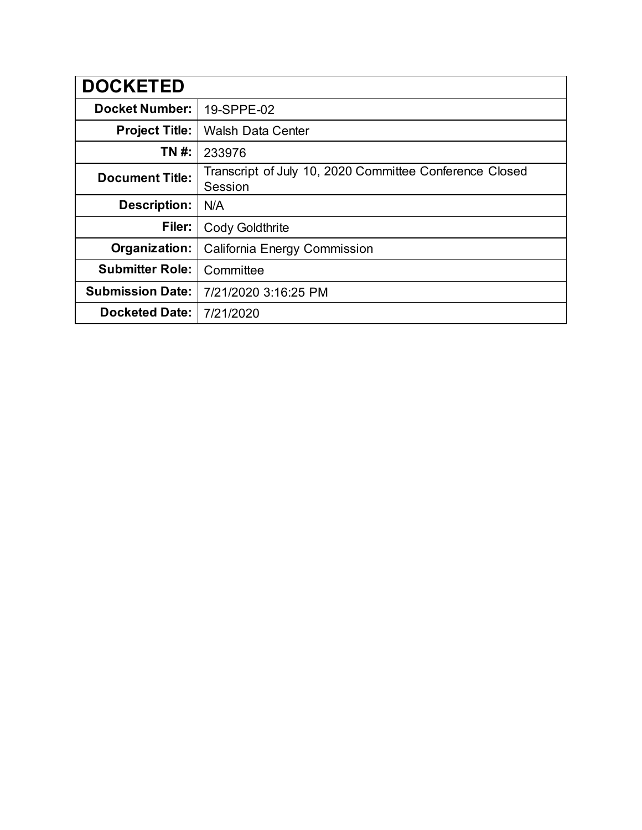| <b>DOCKETED</b>         |                                                                    |
|-------------------------|--------------------------------------------------------------------|
| <b>Docket Number:</b>   | 19-SPPE-02                                                         |
| <b>Project Title:</b>   | <b>Walsh Data Center</b>                                           |
| TN #:                   | 233976                                                             |
| <b>Document Title:</b>  | Transcript of July 10, 2020 Committee Conference Closed<br>Session |
| <b>Description:</b>     | N/A                                                                |
| Filer:                  | <b>Cody Goldthrite</b>                                             |
| Organization:           | California Energy Commission                                       |
| <b>Submitter Role:</b>  | Committee                                                          |
| <b>Submission Date:</b> | 7/21/2020 3:16:25 PM                                               |
| <b>Docketed Date:</b>   | 7/21/2020                                                          |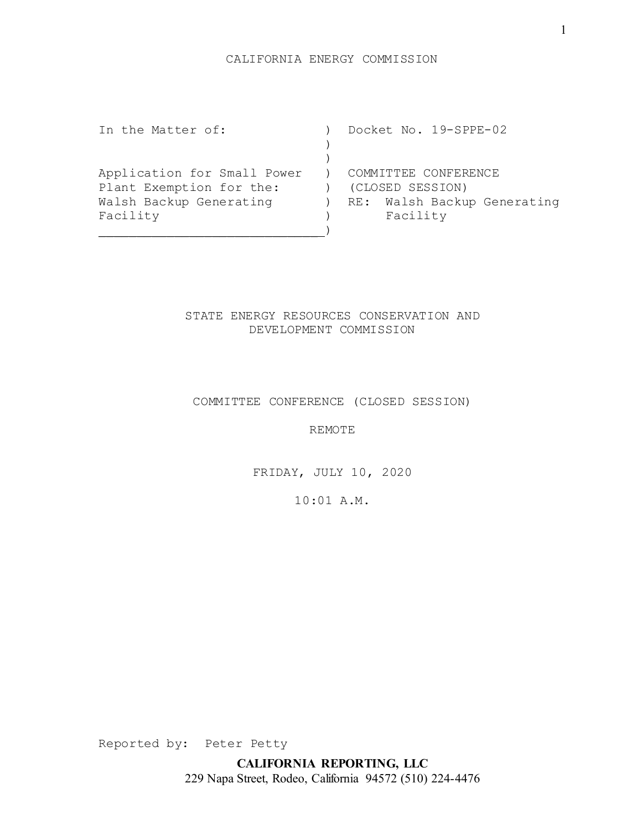In the Matter of: ) Docket No. 19-SPPE-02  $\left( \right)$  $)$ Application for Small Power ) COMMITTEE CONFERENCE Plant Exemption for the: (CLOSED SESSION) Walsh Backup Generating (a) RE: Walsh Backup Generating Facility (Facility ) Facility  $)$ 

# STATE ENERGY RESOURCES CONSERVATION AND DEVELOPMENT COMMISSION

## COMMITTEE CONFERENCE (CLOSED SESSION)

REMOTE

FRIDAY, JULY 10, 2020

10:01 A.M.

Reported by: Peter Petty

**CALIFORNIA REPORTING, LLC** 229 Napa Street, Rodeo, California 94572 (510) 224-4476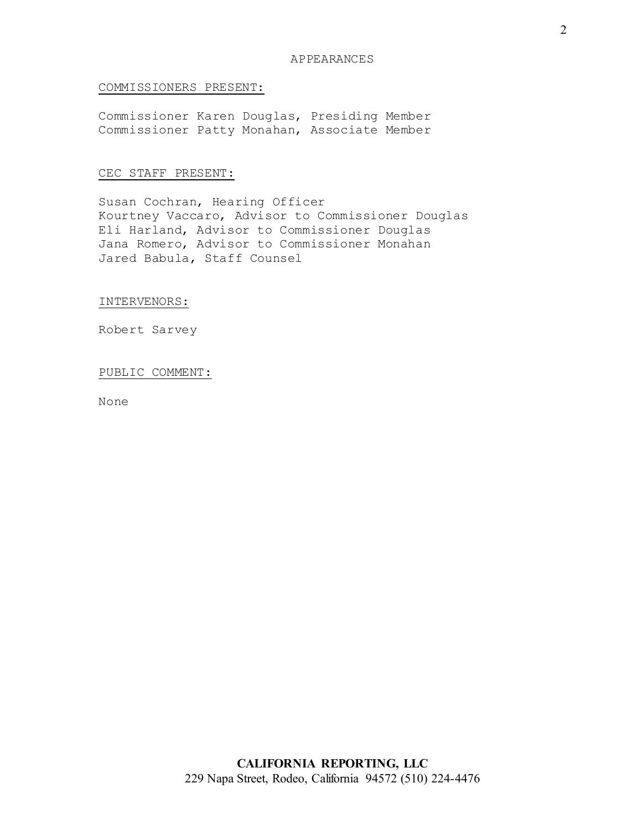## COMMISSIONERS PRESENT:

Commissioner Karen Douglas, Presiding Member Commissioner Patty Monahan, Associate Member

## CEC STAFF PRESENT:

Susan Cochran, Hearing Officer Kourtney Vaccaro, Advisor to Commissioner Douglas Eli Harland, Advisor to Commissioner Douglas Jana Romero, Advisor to Commissioner Monahan Jared Babula, Staff Counsel

INTERVENORS:

Robert Sarvey

#### PUBLIC COMMENT:

None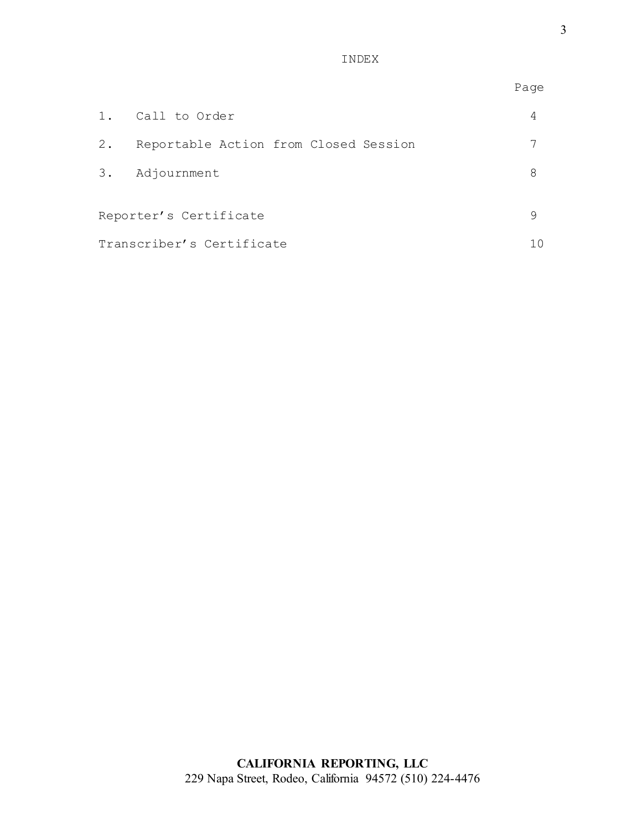INDEX

|                           |                                          | Page |
|---------------------------|------------------------------------------|------|
|                           | 1. Call to Order                         | 4    |
|                           | 2. Reportable Action from Closed Session |      |
|                           | 3. Adjournment                           | 8    |
|                           | Reporter's Certificate                   | 9    |
| Transcriber's Certificate |                                          |      |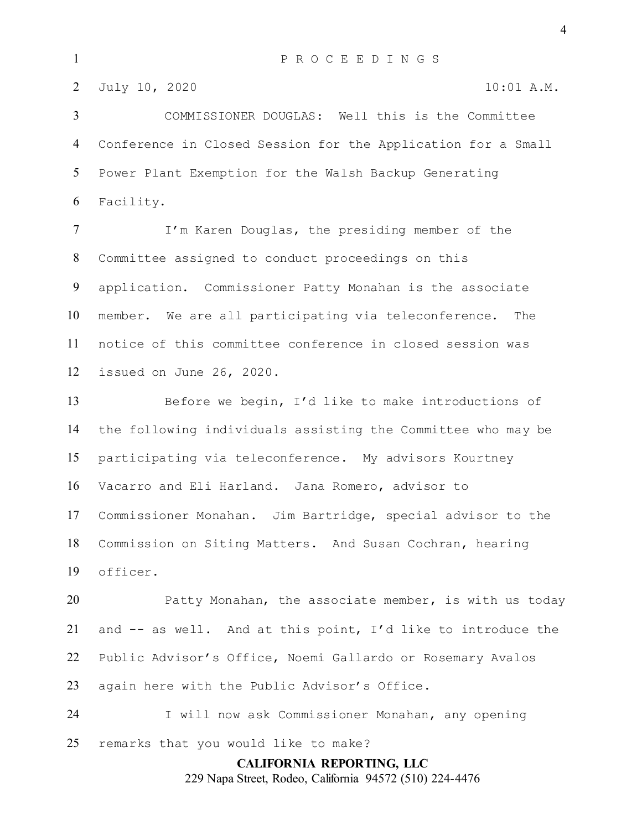2 July 10, 2020 10:01 A.M.

 COMMISSIONER DOUGLAS: Well this is the Committee Conference in Closed Session for the Application for a Small Power Plant Exemption for the Walsh Backup Generating Facility.

 I'm Karen Douglas, the presiding member of the Committee assigned to conduct proceedings on this application. Commissioner Patty Monahan is the associate member. We are all participating via teleconference. The notice of this committee conference in closed session was issued on June 26, 2020.

 Before we begin, I'd like to make introductions of the following individuals assisting the Committee who may be participating via teleconference. My advisors Kourtney Vacarro and Eli Harland. Jana Romero, advisor to Commissioner Monahan. Jim Bartridge, special advisor to the Commission on Siting Matters. And Susan Cochran, hearing officer.

 Patty Monahan, the associate member, is with us today and -- as well. And at this point, I'd like to introduce the Public Advisor's Office, Noemi Gallardo or Rosemary Avalos again here with the Public Advisor's Office.

 I will now ask Commissioner Monahan, any opening remarks that you would like to make?

**CALIFORNIA REPORTING, LLC**

229 Napa Street, Rodeo, California 94572 (510) 224-4476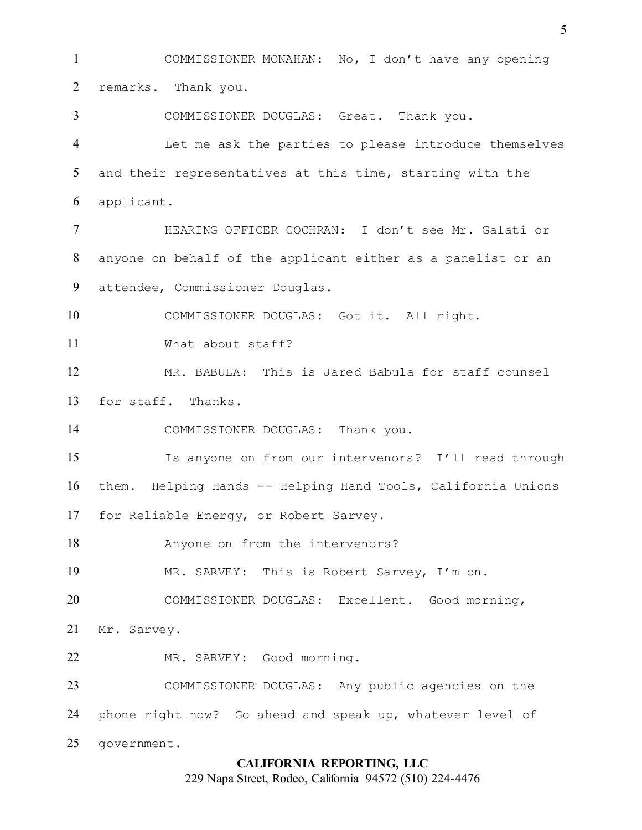COMMISSIONER MONAHAN: No, I don't have any opening remarks. Thank you. COMMISSIONER DOUGLAS: Great. Thank you. Let me ask the parties to please introduce themselves and their representatives at this time, starting with the applicant. HEARING OFFICER COCHRAN: I don't see Mr. Galati or anyone on behalf of the applicant either as a panelist or an attendee, Commissioner Douglas. COMMISSIONER DOUGLAS: Got it. All right. What about staff? MR. BABULA: This is Jared Babula for staff counsel for staff. Thanks. 14 COMMISSIONER DOUGLAS: Thank you. Is anyone on from our intervenors? I'll read through them. Helping Hands -- Helping Hand Tools, California Unions for Reliable Energy, or Robert Sarvey. Anyone on from the intervenors? MR. SARVEY: This is Robert Sarvey, I'm on. COMMISSIONER DOUGLAS: Excellent. Good morning, Mr. Sarvey. MR. SARVEY: Good morning. COMMISSIONER DOUGLAS: Any public agencies on the phone right now? Go ahead and speak up, whatever level of government.

## **CALIFORNIA REPORTING, LLC**

229 Napa Street, Rodeo, California 94572 (510) 224-4476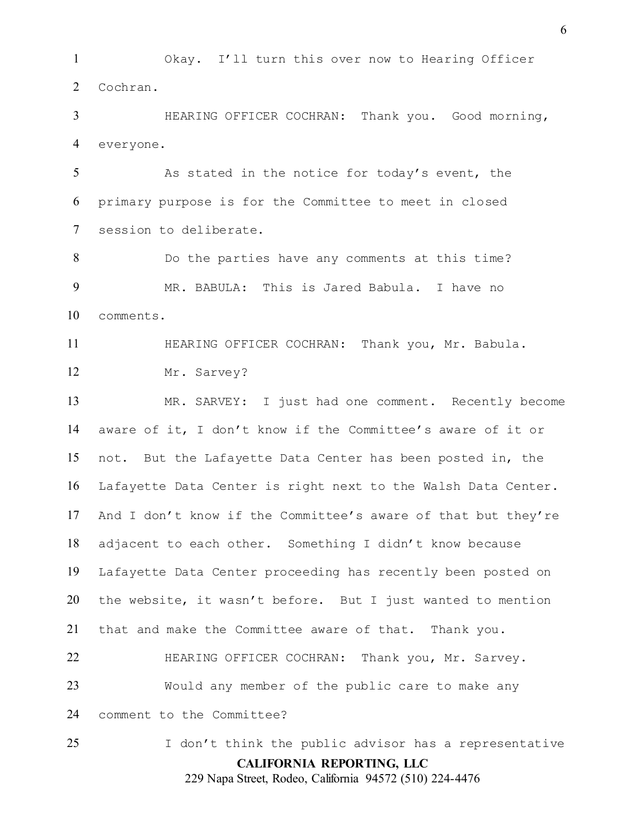Okay. I'll turn this over now to Hearing Officer Cochran.

 HEARING OFFICER COCHRAN: Thank you. Good morning, everyone.

 As stated in the notice for today's event, the primary purpose is for the Committee to meet in closed session to deliberate.

 Do the parties have any comments at this time? MR. BABULA: This is Jared Babula. I have no comments.

11 HEARING OFFICER COCHRAN: Thank you, Mr. Babula. Mr. Sarvey?

 MR. SARVEY: I just had one comment. Recently become aware of it, I don't know if the Committee's aware of it or not. But the Lafayette Data Center has been posted in, the Lafayette Data Center is right next to the Walsh Data Center. And I don't know if the Committee's aware of that but they're adjacent to each other. Something I didn't know because Lafayette Data Center proceeding has recently been posted on the website, it wasn't before. But I just wanted to mention that and make the Committee aware of that. Thank you. 22 HEARING OFFICER COCHRAN: Thank you, Mr. Sarvey. Would any member of the public care to make any comment to the Committee?

**CALIFORNIA REPORTING, LLC** 229 Napa Street, Rodeo, California 94572 (510) 224-4476 I don't think the public advisor has a representative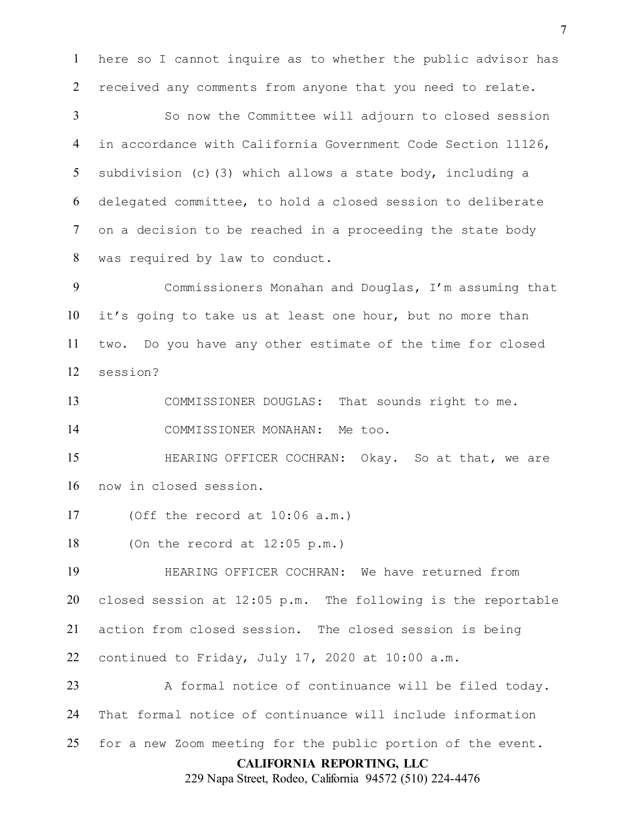here so I cannot inquire as to whether the public advisor has received any comments from anyone that you need to relate.

 So now the Committee will adjourn to closed session in accordance with California Government Code Section 11126, subdivision (c)(3) which allows a state body, including a delegated committee, to hold a closed session to deliberate on a decision to be reached in a proceeding the state body was required by law to conduct.

 Commissioners Monahan and Douglas, I'm assuming that it's going to take us at least one hour, but no more than two. Do you have any other estimate of the time for closed session?

COMMISSIONER DOUGLAS: That sounds right to me.

COMMISSIONER MONAHAN: Me too.

 HEARING OFFICER COCHRAN: Okay. So at that, we are now in closed session.

(Off the record at 10:06 a.m.)

(On the record at 12:05 p.m.)

 HEARING OFFICER COCHRAN: We have returned from closed session at 12:05 p.m. The following is the reportable action from closed session. The closed session is being continued to Friday, July 17, 2020 at 10:00 a.m.

**CALIFORNIA REPORTING, LLC** 23 A formal notice of continuance will be filed today. That formal notice of continuance will include information for a new Zoom meeting for the public portion of the event.

229 Napa Street, Rodeo, California 94572 (510) 224-4476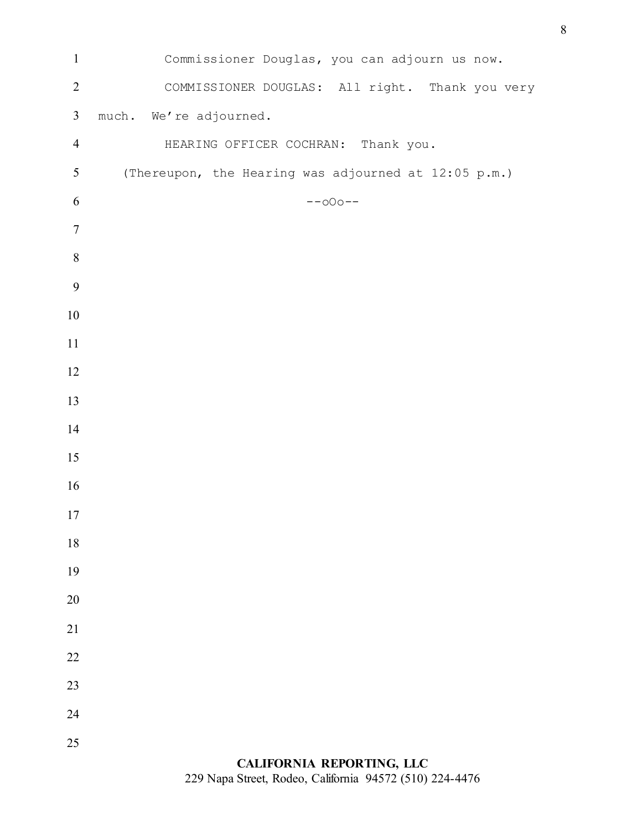| $\mathbf{1}$     | Commissioner Douglas, you can adjourn us now.        |
|------------------|------------------------------------------------------|
| $\overline{2}$   | COMMISSIONER DOUGLAS: All right. Thank you very      |
| $\mathfrak{Z}$   | much. We're adjourned.                               |
| $\overline{4}$   | HEARING OFFICER COCHRAN: Thank you.                  |
| $\mathfrak{S}$   | (Thereupon, the Hearing was adjourned at 12:05 p.m.) |
| 6                | $--000--$                                            |
| $\tau$           |                                                      |
| $\,8\,$          |                                                      |
| $\boldsymbol{9}$ |                                                      |
| $10\,$           |                                                      |
| 11               |                                                      |
| 12               |                                                      |
| 13               |                                                      |
| 14               |                                                      |
| 15               |                                                      |
| 16               |                                                      |
| 17               |                                                      |
| 18               |                                                      |
| 19               |                                                      |
| 20               |                                                      |
| 21               |                                                      |
| 22               |                                                      |
| 23               |                                                      |
| 24               |                                                      |
| 25               |                                                      |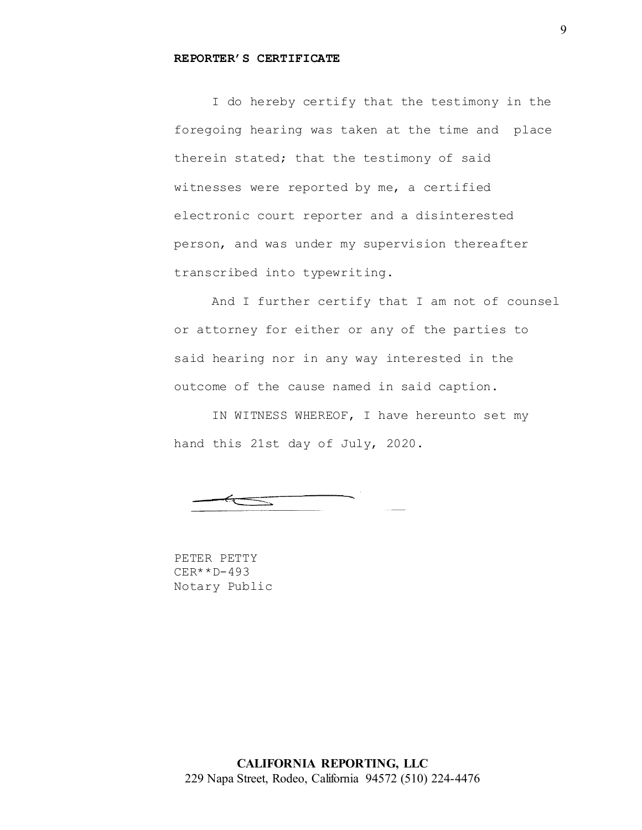#### **REPORTER'S CERTIFICATE**

I do hereby certify that the testimony in the foregoing hearing was taken at the time and place therein stated; that the testimony of said witnesses were reported by me, a certified electronic court reporter and a disinterested person, and was under my supervision thereafter transcribed into typewriting.

And I further certify that I am not of counsel or attorney for either or any of the parties to said hearing nor in any way interested in the outcome of the cause named in said caption.

IN WITNESS WHEREOF, I have hereunto set my hand this 21st day of July, 2020.

 $\equiv$ 

PETER PETTY CER\*\*D-493 Notary Public